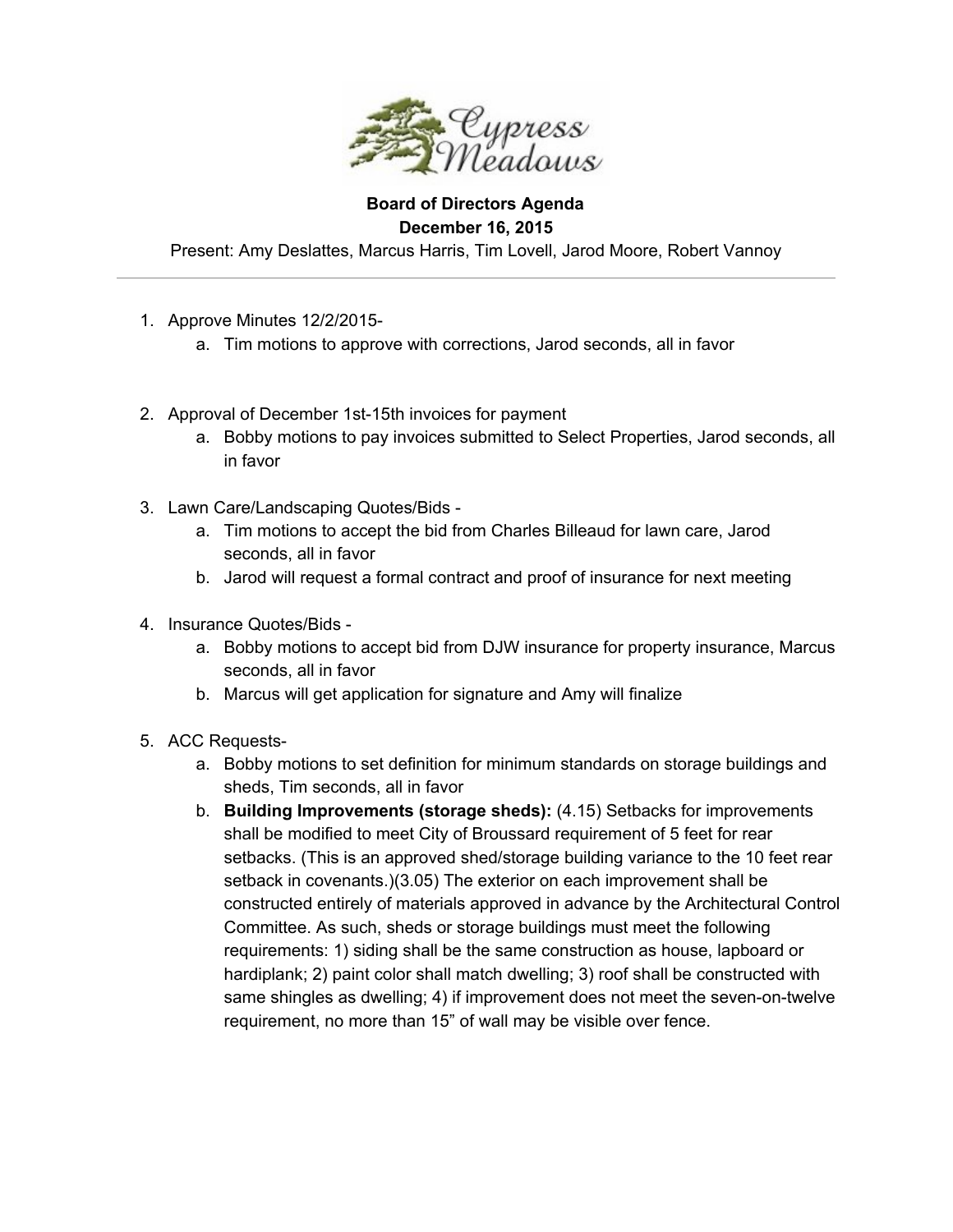

## **Board of Directors Agenda December 16, 2015**

Present: Amy Deslattes, Marcus Harris, Tim Lovell, Jarod Moore, Robert Vannoy

- 1. Approve Minutes 12/2/2015
	- a. Tim motions to approve with corrections, Jarod seconds, all in favor
- 2. Approval of December 1st-15th invoices for payment
	- a. Bobby motions to pay invoices submitted to Select Properties, Jarod seconds, all in favor
- 3. Lawn Care/Landscaping Quotes/Bids
	- a. Tim motions to accept the bid from Charles Billeaud for lawn care, Jarod seconds, all in favor
	- b. Jarod will request a formal contract and proof of insurance for next meeting
- 4. Insurance Quotes/Bids
	- a. Bobby motions to accept bid from DJW insurance for property insurance, Marcus seconds, all in favor
	- b. Marcus will get application for signature and Amy will finalize
- 5. ACC Requests
	- a. Bobby motions to set definition for minimum standards on storage buildings and sheds, Tim seconds, all in favor
	- b. **Building Improvements (storage sheds):** (4.15) Setbacks for improvements shall be modified to meet City of Broussard requirement of 5 feet for rear setbacks. (This is an approved shed/storage building variance to the 10 feet rear setback in covenants.)(3.05) The exterior on each improvement shall be constructed entirely of materials approved in advance by the Architectural Control Committee. As such, sheds or storage buildings must meet the following requirements: 1) siding shall be the same construction as house, lapboard or hardiplank; 2) paint color shall match dwelling; 3) roof shall be constructed with same shingles as dwelling; 4) if improvement does not meet the seven-on-twelve requirement, no more than 15" of wall may be visible over fence.